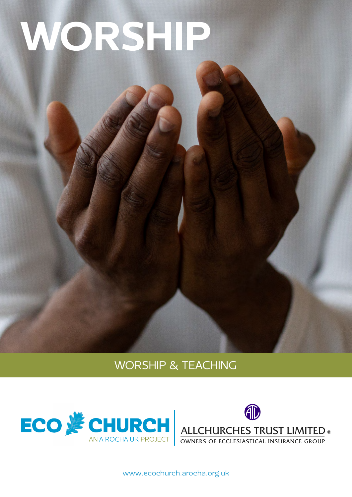# WORSHIP

# WORSHIP & TEACHING





[www.ecochurch.arocha.org.uk](http://ecochurch.arocha.org.uk)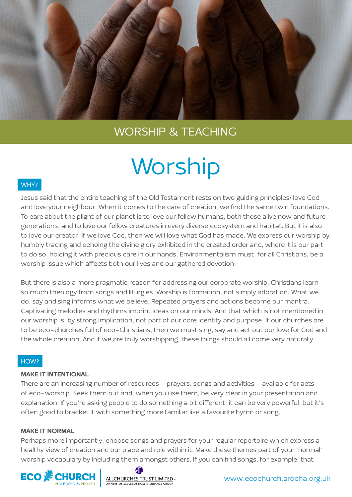

# WORSHIP & TEACHING

# **Worship**

### WHY?

Jesus said that the entire teaching of the Old Testament rests on two guiding principles: love God and love your neighbour. When it comes to the care of creation, we find the same twin foundations. To care about the plight of our planet is to love our fellow humans, both those alive now and future generations, and to love our fellow creatures in every diverse ecosystem and habitat. But it is also to love our creator. If we love God, then we will love what God has made. We express our worship by humbly tracing and echoing the divine glory exhibited in the created order and, where it is our part to do so, holding it with precious care in our hands. Environmentalism must, for all Christians, be a worship issue which affects both our lives and our gathered devotion.

But there is also a more pragmatic reason for addressing our corporate worship. Christians learn so much theology from songs and liturgies. Worship is formation, not simply adoration. What we do, say and sing informs what we believe. Repeated prayers and actions become our mantra. Captivating melodies and rhythms imprint ideas on our minds. And that which is not mentioned in our worship is, by strong implication, not part of our core identity and purpose. If our churches are to be eco-churches full of eco-Christians, then we must sing, say and act out our love for God and the whole creation. And if we are truly worshipping, these things should all come very naturally.

#### HOW?

#### MAKE IT INTENTIONAL

There are an increasing number of resources – prayers, songs and activities – available for acts of eco-worship. Seek them out and, when you use them, be very clear in your presentation and explanation. If you're asking people to do something a bit different, it can be very powerful, but it's often good to bracket it with something more familiar like a favourite hymn or song.

#### MAKE IT NORMAL

Perhaps more importantly, choose songs and prayers for your regular repertoire which express a healthy view of creation and our place and role within it. Make these themes part of your 'normal' worship vocabulary by including them amongst others. If you can find songs, for example, that



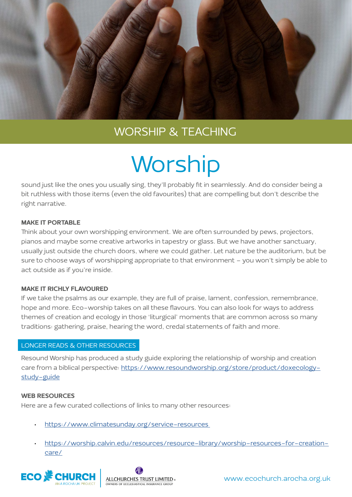

# WORSHIP & TEACHING

# **Worship**

sound just like the ones you usually sing, they'll probably fit in seamlessly. And do consider being a bit ruthless with those items (even the old favourites) that are compelling but don't describe the right narrative.

### MAKE IT PORTABLE

Think about your own worshipping environment. We are often surrounded by pews, projectors, pianos and maybe some creative artworks in tapestry or glass. But we have another sanctuary, usually just outside the church doors, where we could gather. Let nature be the auditorium, but be sure to choose ways of worshipping appropriate to that environment – you won't simply be able to act outside as if you're inside.

### MAKE IT RICHLY FLAVOURED

If we take the psalms as our example, they are full of praise, lament, confession, remembrance, hope and more. Eco-worship takes on all these flavours. You can also look for ways to address themes of creation and ecology in those 'liturgical' moments that are common across so many traditions: gathering, praise, hearing the word, credal statements of faith and more.

## LONGER READS & OTHER RESOURCES

Resound Worship has produced a study guide exploring the relationship of worship and creation care from a biblical perspective: [https://www.resoundworship.org/store/product/doxecology](https://www.resoundworship.org/store/product/doxecology-study-guide)[study-guide](https://www.resoundworship.org/store/product/doxecology-study-guide)

### WEB RESOURCES

Here are a few curated collections of links to many other resources:

- https://www.climatesunday.org/service-resources
- [https://worship.calvin.edu/resources/resource-library/worship-resources-for-creation](https://worship.calvin.edu/resources/resource-library/worship-resources-for-creation-care/)[care/](https://worship.calvin.edu/resources/resource-library/worship-resources-for-creation-care/)